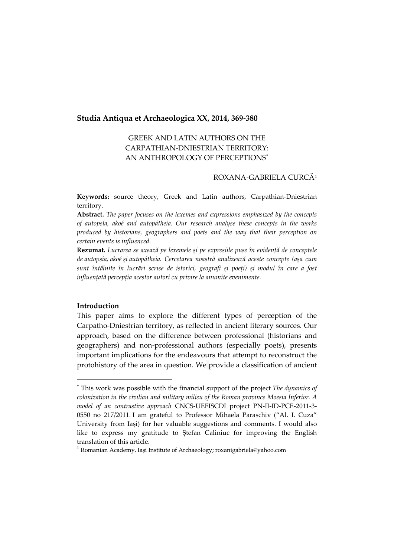# **Studia Antiqua et Archaeologica XX, 2014, 369-380**

# GREEK AND LATIN AUTHORS ON THE CARPATHIAN-DNIESTRIAN TERRITORY: AN ANTHROPOLOGY OF PERCEPTIONS[∗](#page-0-0)

# ROXANA-GABRIELA CURCĂ[1](#page-0-1)

**Keywords:** source theory, Greek and Latin authors, Carpathian-Dniestrian territory.

**Abstract.** *The paper focuses on the lexemes and expressions emphasized by the concepts of autopsía, akoé and autopátheia. Our research analyse these concepts in the works produced by historians, geographers and poets and the way that their perception on certain events is influenced.*

**Rezumat.** *Lucrarea se axează pe lexemele și pe expresiile puse în evidență de conceptele de autopsía, akoé și autopátheia. Cercetarea noastră analizează aceste concepte (așa cum sunt întâlnite în lucrări scrise de istorici, geografi și poeți) și modul în care a fost influențată percepția acestor autori cu privire la anumite evenimente.*

## **Introduction**

-

This paper aims to explore the different types of perception of the Carpatho-Dniestrian territory, as reflected in ancient literary sources. Our approach, based on the difference between professional (historians and geographers) and non-professional authors (especially poets), presents important implications for the endeavours that attempt to reconstruct the protohistory of the area in question. We provide a classification of ancient

<span id="page-0-0"></span><sup>∗</sup> This work was possible with the financial support of the project *The dynamics of colonization in the civilian and military milieu of the Roman province Moesia Inferior. A model of an contrastive approach* CNCS-UEFISCDI project PN-II-ID-PCE-2011-3- 0550 no 217/2011. I am grateful to Professor Mihaela Paraschiv ("Al. I. Cuza" University from Iași) for her valuable suggestions and comments. I would also like to express my gratitude to Ștefan Caliniuc for improving the English translation of this article.

<span id="page-0-1"></span><sup>&</sup>lt;sup>1</sup> Romanian Academy, Iași Institute of Archaeology; roxanigabriela@yahoo.com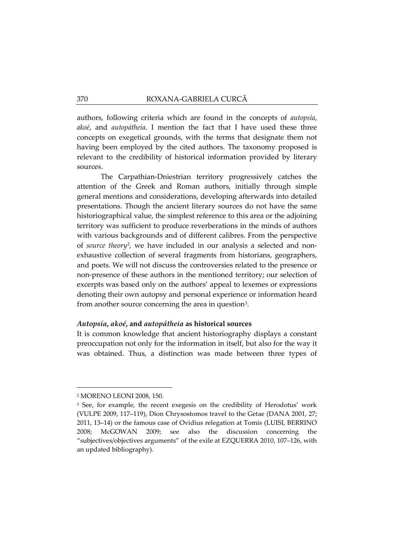authors, following criteria which are found in the concepts of *autopsía*, *akoé*, and *autopátheia*. I mention the fact that I have used these three concepts on exegetical grounds, with the terms that designate them not having been employed by the cited authors. The taxonomy proposed is relevant to the credibility of historical information provided by literary sources.

The Carpathian-Dniestrian territory progressively catches the attention of the Greek and Roman authors, initially through simple general mentions and considerations, developing afterwards into detailed presentations. Though the ancient literary sources do not have the same historiographical value, the simplest reference to this area or the adjoining territory was sufficient to produce reverberations in the minds of authors with various backgrounds and of different calibres. From the perspective of *source theory*[2,](#page-1-0) we have included in our analysis a selected and nonexhaustive collection of several fragments from historians, geographers, and poets. We will not discuss the controversies related to the presence or non-presence of these authors in the mentioned territory; our selection of excerpts was based only on the authors' appeal to lexemes or expressions denoting their own autopsy and personal experience or information heard from another source concerning the area in question<sup>3</sup>.

#### *Autopsía***,** *akoé***, and** *autopátheia* **as historical sources**

It is common knowledge that ancient historiography displays a constant preoccupation not only for the information in itself, but also for the way it was obtained. Thus, a distinction was made between three types of

<span id="page-1-0"></span><sup>2</sup> MORENO LEONI 2008, 150.

<span id="page-1-1"></span><sup>&</sup>lt;sup>3</sup> See, for example, the recent exegesis on the credibility of Herodotus' work (VULPE 2009, 117–119), Dion Chrysostomos travel to the Getae (DANA 2001, 27; 2011, 13–14) or the famous case of Ovidius relegation at Tomis (LUISI, BERRINO 2008; McGOWAN 2009; see also the discussion concerning the "subjectives/objectives arguments" of the exile at EZQUERRA 2010, 107–126, with an updated bibliography).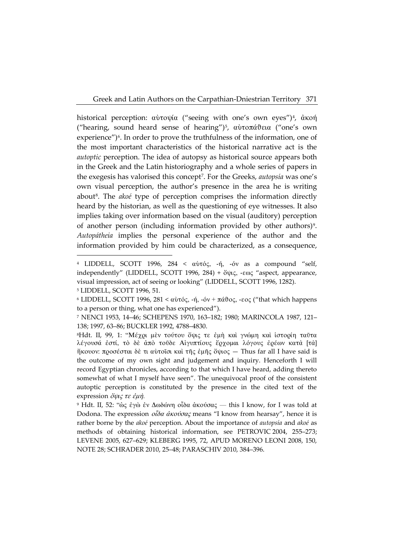historical perception:  $\alpha\dot{\beta}$  and  $\dot{\alpha}$  ("seeing with one's own eyes")<sup>4</sup>,  $\dot{\alpha}$  kon ("hearing, sound heard sense of hearing")<sup>5</sup>, αύτοπάθεια ("one's own experience")<sup>6</sup>. In order to prove the truthfulness of the information, one of the most important characteristics of the historical narrative act is the *autoptic* perception. The idea of autopsy as historical source appears both in the Greek and the Latin historiography and a whole series of papers in the exegesis has valorised this concept<sup>7</sup>. For the Greeks, autopsía was one's own visual perception, the author's presence in the area he is writing about<sup>8</sup>. The *akoé* type of perception comprises the information directly heard by the historian, as well as the questioning of eye witnesses. It also implies taking over information based on the visual (auditory) perception of another person (including information provided by other authors)<sup>9</sup>. Autopátheia implies the personal experience of the author and the information provided by him could be characterized, as a consequence,

<span id="page-2-0"></span><sup>&</sup>lt;sup>4</sup> LIDDELL, SCOTT 1996, 284 < αύτός, -ή, -όν as a compound "self, independently" (LIDDELL, SCOTT 1996, 284) + ὄψις, -εως "aspect, appearance, visual impression, act of seeing or looking" (LIDDELL, SCOTT 1996, 1282). <sup>5</sup> LIDDELL, SCOTT 1996, 51.

<span id="page-2-2"></span><span id="page-2-1"></span><sup>&</sup>lt;sup>6</sup> LIDDELL, SCOTT 1996, 281 < αὐτός, -ή, -όν + πάθος, -εος ("that which happens to a person or thing, what one has experienced").

<span id="page-2-3"></span><sup>&</sup>lt;sup>7</sup> NENCI 1953, 14-46; SCHEPENS 1970, 163-182; 1980; MARINCOLA 1987, 121-138; 1997, 63-86; BUCKLER 1992, 4788-4830.

<span id="page-2-4"></span><sup>&</sup>lt;sup>8</sup>Hdt. II, 99, 1: "Μέχρι μεν τούτου όψις τε έμή και γνώμη και ίστορίη ταύτα λέγουσά έστί, το δε άπο τούδε Αίγυπτίους έρχομαι λόγους έρέων κατά [τα] ήκουον: προσέσται δε τι αύτοΐσι και της έμης όψιος - Thus far all I have said is the outcome of my own sight and judgement and inquiry. Henceforth I will record Egyptian chronicles, according to that which I have heard, adding thereto somewhat of what I myself have seen". The unequivocal proof of the consistent autoptic perception is constituted by the presence in the cited text of the expression  $\delta \psi \zeta \tau \varepsilon \varepsilon \psi$ .

<span id="page-2-5"></span><sup>&</sup>lt;sup>9</sup> Hdt. II, 52: "ώς ἐγὼ ἐν Δωδώνη οἶδα ἀκούσας — this I know, for I was told at Dodona. The expression  $\partial \overline{\partial} \alpha \partial x$   $\partial x$  means "I know from hearsay", hence it is rather borne by the akoé perception. About the importance of autopsía and akoé as methods of obtaining historical information, see PETROVIC 2004, 255-273; LEVENE 2005, 627-629; KLEBERG 1995, 72, APUD MORENO LEONI 2008, 150, NOTE 28; SCHRADER 2010, 25-48; PARASCHIV 2010, 384-396.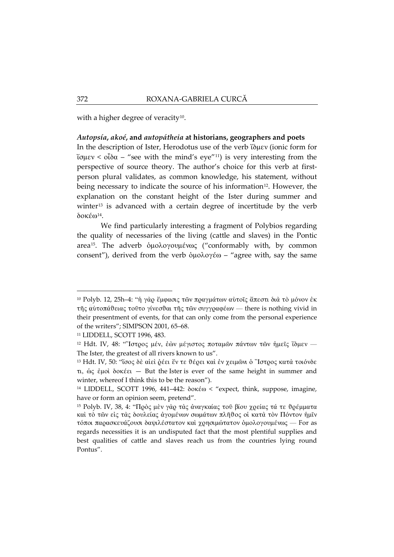with a higher degree of veracity<sup>10</sup>.

## Autopsía, akoé, and autopátheia at historians, geographers and poets

In the description of Ister, Herodotus use of the verb (Suev (ionic form for ίσμεν < οἶδα – "see with the mind's eye"<sup>11</sup>) is very interesting from the perspective of source theory. The author's choice for this verb at firstperson plural validates, as common knowledge, his statement, without being necessary to indicate the source of his information<sup>12</sup>. However, the explanation on the constant height of the Ister during summer and winter<sup>13</sup> is advanced with a certain degree of incertitude by the verb  $\delta$ oké $\omega$ <sup>14</sup>.

We find particularly interesting a fragment of Polybios regarding the quality of necessaries of the living (cattle and slaves) in the Pontic area<sup>15</sup>. The adverb ομολογουμένως ("conformably with, by common consent"), derived from the verb  $\delta \mu \partial \lambda \partial \gamma \partial \phi - \mu \partial \phi$  agree with, say the same

<span id="page-3-1"></span><sup>11</sup> LIDDELL, SCOTT 1996, 483.

<span id="page-3-0"></span><sup>&</sup>lt;sup>10</sup> Polyb. 12, 25h-4: "ή γάρ έμφασις των πραγμάτων αύτοις άπεστι διά το μόνον έκ της αύτοπάθειας τούτο γίνεσθαι της των συγγραφέων - there is nothing vivid in their presentment of events, for that can only come from the personal experience of the writers"; SIMPSON 2001, 65-68.

<span id="page-3-2"></span><sup>&</sup>lt;sup>12</sup> Hdt. IV, 48: "Ίστρος μέν, εών μέγιστος ποταμών πάντων των ήμεις ίδμεν -The Ister, the greatest of all rivers known to us".

<span id="page-3-3"></span><sup>&</sup>lt;sup>13</sup> Hdt. IV, 50: "ίσος δε αίει δέει έν τε θέρει και εν χειμώνι ο "Ιστρος κατά τοιόνδε  $\pi$ , ως έμοι δοκέει – But the Ister is ever of the same height in summer and winter, whereof I think this to be the reason").

<span id="page-3-4"></span><sup>&</sup>lt;sup>14</sup> LIDDELL, SCOTT 1996, 441-442:  $\delta$ oké $\omega$  < "expect, think, suppose, imagine, have or form an opinion seem, pretend".

<span id="page-3-5"></span><sup>&</sup>lt;sup>15</sup> Polyb. IV, 38, 4: "Πρὸς μεν γαρ τας αναγκαίας τοῦ βίου χρείας τά τε θρέμματα καί το τών είς τας δουλείας αγομένων σωμάτων πλήθος οί κατα τον Πόντον ήμῖν τόποι παρασκευάζουσι δαψιλέστατον και χρησιμώτατον ομολογουμένως - For as regards necessities it is an undisputed fact that the most plentiful supplies and best qualities of cattle and slaves reach us from the countries lying round Pontus".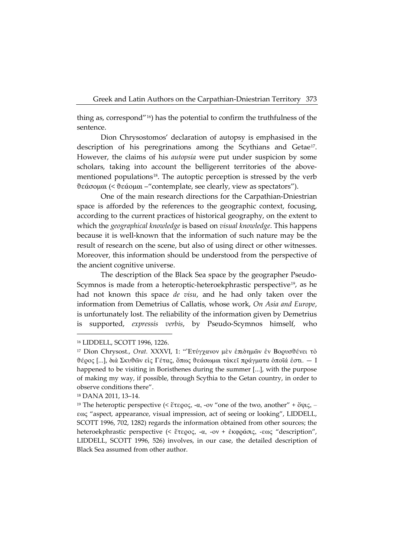thing as, correspond"<sup>16</sup>) has the potential to confirm the truthfulness of the sentence.

Dion Chrysostomos' declaration of autopsy is emphasised in the description of his peregrinations among the Scythians and Getae<sup>17</sup>. However, the claims of his *autopsia* were put under suspicion by some scholars, taking into account the belligerent territories of the abovementioned populations<sup>18</sup>. The autoptic perception is stressed by the verb θεάσομαι (< θεάομαι – "contemplate, see clearly, view as spectators").

One of the main research directions for the Carpathian-Dniestrian space is afforded by the references to the geographic context, focusing, according to the current practices of historical geography, on the extent to which the geographical knowledge is based on visual knowledge. This happens because it is well-known that the information of such nature may be the result of research on the scene, but also of using direct or other witnesses. Moreover, this information should be understood from the perspective of the ancient cognitive universe.

The description of the Black Sea space by the geographer Pseudo-Scymnos is made from a heteroptic-heteroekphrastic perspective<sup>19</sup>, as he had not known this space *de visu*, and he had only taken over the information from Demetrius of Callatis, whose work, On Asia and Europe, is unfortunately lost. The reliability of the information given by Demetrius supported, expressis verbis, by Pseudo-Scymnos himself, who is

<span id="page-4-0"></span><sup>&</sup>lt;sup>16</sup> LIDDELL, SCOTT 1996, 1226.

<span id="page-4-1"></span><sup>&</sup>lt;sup>17</sup> Dion Chrysost., Orat. XXXVI, 1: "Ετύγχανον μεν επιδημών εν Βορυσθένει το θέρος [...], διά Σκυθών είς Γέτας, ὅπως θεάσωμαι τάκεῖ πράγματα ὁποῖά ἐστι. - Ι happened to be visiting in Boristhenes during the summer [...], with the purpose of making my way, if possible, through Scythia to the Getan country, in order to observe conditions there".

<span id="page-4-2"></span><sup>&</sup>lt;sup>18</sup> DANA 2011, 13-14.

<span id="page-4-3"></span><sup>&</sup>lt;sup>19</sup> The heteroptic perspective (<  $\zeta$   $\zeta$   $\zeta$   $\zeta$   $\zeta$ ,  $\zeta$ ,  $\zeta$ ,  $\zeta$ )  $\zeta$  one of the two, another  $'' + \zeta \psi \zeta$ ,  $\zeta$ εως "aspect, appearance, visual impression, act of seeing or looking", LIDDELL, SCOTT 1996, 702, 1282) regards the information obtained from other sources; the heteroekphrastic perspective (< ἕτερος, -α, -ον + ἐκφράσις, -εως "description", LIDDELL, SCOTT 1996, 526) involves, in our case, the detailed description of Black Sea assumed from other author.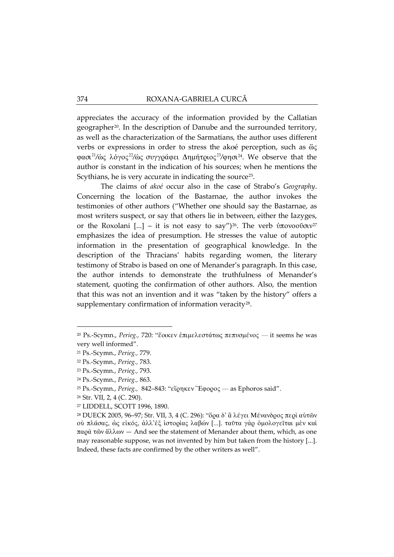appreciates the accuracy of the information provided by the Callatian geographer<sup>20</sup>. In the description of Danube and the surrounded territory, as well as the characterization of the Sarmatians, the author uses different verbs or expressions in order to stress the akoé perception, such as  $\omega$ φασι<sup>21</sup>/ώς λόγος<sup>22</sup>/ώς συγγράφει Δημήτριος<sup>23</sup>/φησι<sup>24</sup>. We observe that the author is constant in the indication of his sources; when he mentions the Scythians, he is very accurate in indicating the source<sup>25</sup>.

The claims of akoé occur also in the case of Strabo's Geography. Concerning the location of the Bastarnae, the author invokes the testimonies of other authors ("Whether one should say the Bastarnae, as most writers suspect, or say that others lie in between, either the Iazyges, or the Roxolani [...] - it is not easy to say")<sup>26</sup>. The verb ύπονοοῦσιν<sup>27</sup> emphasizes the idea of presumption. He stresses the value of autoptic information in the presentation of geographical knowledge. In the description of the Thracians' habits regarding women, the literary testimony of Strabo is based on one of Menander's paragraph. In this case, the author intends to demonstrate the truthfulness of Menander's statement, quoting the confirmation of other authors. Also, the mention that this was not an invention and it was "taken by the history" offers a supplementary confirmation of information veracity<sup>28</sup>.

<span id="page-5-0"></span><sup>&</sup>lt;sup>20</sup> Ps.-Scymn., Perieg., 720: "έοικεν επιμελεστάτως πεπυσμένος — it seems he was very well informed".

<span id="page-5-2"></span><span id="page-5-1"></span><sup>&</sup>lt;sup>21</sup> Ps.-Scymn., Perieg., 779.

<sup>&</sup>lt;sup>22</sup> Ps.-Scymn., Perieg., 783.

<span id="page-5-3"></span><sup>&</sup>lt;sup>23</sup> Ps.-Scymn., Perieg., 793.

<span id="page-5-5"></span><span id="page-5-4"></span><sup>&</sup>lt;sup>24</sup> Ps.-Scymn., Perieg., 863.

<sup>&</sup>lt;sup>25</sup> Ps.-Scymn., Perieg., 842-843: "εἴρηκεν Ἐφορος — as Ephoros said".

<span id="page-5-7"></span><span id="page-5-6"></span><sup>&</sup>lt;sup>26</sup> Str. VII, 2, 4 (C. 290).

<sup>&</sup>lt;sup>27</sup> LIDDELL, SCOTT 1996, 1890.

<span id="page-5-8"></span><sup>&</sup>lt;sup>28</sup> DUECK 2005, 96-97; Str. VII, 3, 4 (C. 296): "δρα δ' ἃ λέγει Μένανδρος περί αύτων ού πλάσας, ως είκός, άλλ' έξ ίστορίας λαβών [...]. ταῦτα γὰρ ὁμολογεῖται μὲν καὶ παρὰ τῶν ἄλλων - And see the statement of Menander about them, which, as one may reasonable suppose, was not invented by him but taken from the history [...]. Indeed, these facts are confirmed by the other writers as well".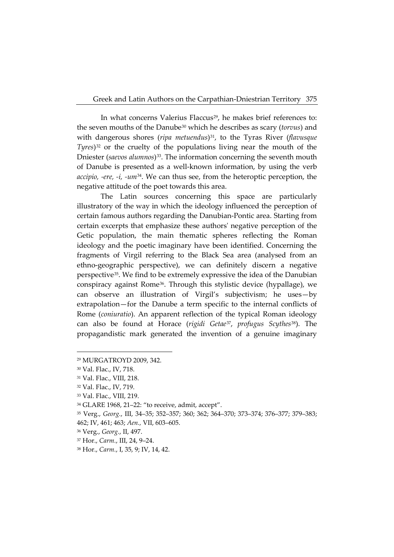In what concerns Valerius Flaccus<sup>[29](#page-6-0)</sup>, he makes brief references to: the seven mouths of the Danube[30](#page-6-1) which he describes as scary (*torvus*) and with dangerous shores (*ripa metuendus*)<sup>[31](#page-6-2)</sup>, to the Tyras River (*flavusque Tyres*)[32](#page-6-3) or the cruelty of the populations living near the mouth of the Dniester (*saevos alumnos*)<sup>33</sup>. The information concerning the seventh mouth of Danube is presented as a well-known information, by using the verb *accipio, -ere, -i, -um*[34.](#page-6-5) We can thus see, from the heteroptic perception, the negative attitude of the poet towards this area.

The Latin sources concerning this space are particularly illustratory of the way in which the ideology influenced the perception of certain famous authors regarding the Danubian-Pontic area. Starting from certain excerpts that emphasize these authors' negative perception of the Getic population, the main thematic spheres reflecting the Roman ideology and the poetic imaginary have been identified. Concerning the fragments of Virgil referring to the Black Sea area (analysed from an ethno-geographic perspective), we can definitely discern a negative perspective[35](#page-6-6). We find to be extremely expressive the idea of the Danubian conspiracy against Rome[36](#page-6-7). Through this stylistic device (hypallage), we can observe an illustration of Virgil's subjectivism; he uses—by extrapolation—for the Danube a term specific to the internal conflicts of Rome (*coniuratio*). An apparent reflection of the typical Roman ideology can also be found at Horace (*rigidi Getae*[37](#page-6-8), *profugus Scythes*[38](#page-6-9)). The propagandistic mark generated the invention of a genuine imaginary

<span id="page-6-1"></span><span id="page-6-0"></span><sup>29</sup> MURGATROYD 2009, 342.

<sup>30</sup> Val. Flac., IV, 718.

<span id="page-6-2"></span><sup>31</sup> Val. Flac., VIII, 218.

<span id="page-6-4"></span><span id="page-6-3"></span><sup>32</sup> Val. Flac., IV, 719.

<sup>33</sup> Val. Flac., VIII, 219.

<span id="page-6-6"></span><span id="page-6-5"></span><sup>34</sup> GLARE 1968, 21–22: "to receive, admit, accept".

<sup>35</sup> Verg., *Georg.*, III, 34–35; 352–357; 360; 362; 364–370; 373–374; 376–377; 379–383;

<sup>462;</sup> IV, 461; 463; *Aen.,* VII, 603–605.

<span id="page-6-8"></span><span id="page-6-7"></span><sup>36</sup> Verg., *Georg.*, II, 497.

<sup>37</sup> Hor., *Carm.*, III, 24, 9–24.

<span id="page-6-9"></span><sup>38</sup> Hor., *Carm.*, I, 35, 9; IV, 14, 42.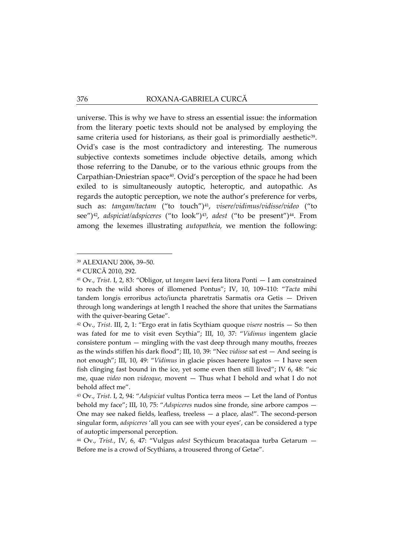universe. This is why we have to stress an essential issue: the information from the literary poetic texts should not be analysed by employing the same criteria used for historians, as their goal is primordially aesthetic<sup>[39](#page-7-0)</sup>. Ovid's case is the most contradictory and interesting. The numerous subjective contexts sometimes include objective details, among which those referring to the Danube, or to the various ethnic groups from the Carpathian-Dniestrian space<sup>40</sup>. Ovid's perception of the space he had been exiled to is simultaneously autoptic, heteroptic, and autopathic. As regards the autoptic perception, we note the author's preference for verbs, such as: *tangam/tactam* ("to touch")[41,](#page-7-2) *visere/vidimus/vidisse/video* ("to see")[42,](#page-7-3) *adspiciat/adspiceres* ("to look")[43](#page-7-4), *adest* ("to be present")[44](#page-7-5). From among the lexemes illustrating *autopatheia*, we mention the following:

-

<span id="page-7-5"></span><sup>44</sup> Ov., *Trist.*, IV, 6, 47: "Vulgus *adest* Scythicum bracataqua turba Getarum — Before me is a crowd of Scythians, a trousered throng of Getae".

<span id="page-7-0"></span><sup>39</sup> ALEXIANU 2006, 39–50.

<span id="page-7-1"></span><sup>40</sup> CURCĂ 2010, 292.

<span id="page-7-2"></span><sup>41</sup> Ov., *Trist.* I, 2, 83: "Obligor, ut *tangam* laevi fera litora Ponti — I am constrained to reach the wild shores of illomened Pontus"; IV, 10, 109–110: "*Tacta* mihi tandem longis erroribus acto/iuncta pharetratis Sarmatis ora Getis — Driven through long wanderings at length I reached the shore that unites the Sarmatians with the quiver-bearing Getae".

<span id="page-7-3"></span><sup>42</sup> Ov., *Trist*. III, 2, 1: "Ergo erat in fatis Scythiam quoque *visere* nostris — So then was fated for me to visit even Scythia"; III, 10, 37: "*Vidimus* ingentem glacie consistere pontum — mingling with the vast deep through many mouths, freezes as the winds stiffen his dark flood"; III, 10, 39: "Nec *vidisse* sat est — And seeing is not enough"; III, 10, 49: "*Vidimus* in glacie pisces haerere ligatos — I have seen fish clinging fast bound in the ice, yet some even then still lived"; IV 6, 48: "sic me, quae *video* non *videoque*, movent — Thus what I behold and what I do not behold affect me".

<span id="page-7-4"></span><sup>43</sup> Ov., *Trist.* I, 2, 94: "*Adspiciat* vultus Pontica terra meos — Let the land of Pontus behold my face"; III, 10, 75: "*Adspiceres* nudos sine fronde, sine arbore campos — One may see naked fields, leafless, treeless — a place, alas!". The second-person singular form, *adspiceres* 'all you can see with your eyes', can be considered a type of autoptic impersonal perception.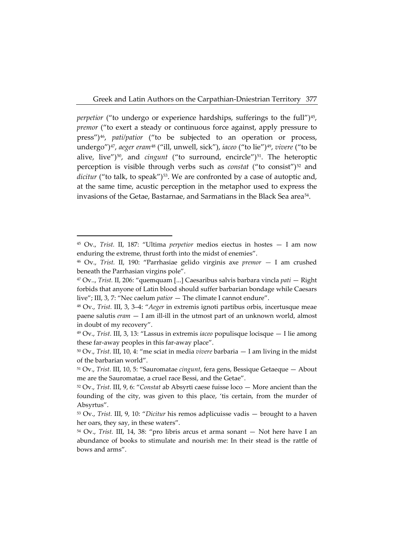*perpetior* ("to undergo or experience hardships, sufferings to the full")<sup>[45](#page-8-0)</sup>, *premor* ("to exert a steady or continuous force against, apply pressure to press")[46](#page-8-1), *pati/patior* ("to be subjected to an operation or process, undergo")[47,](#page-8-2) *aeger eram*[48](#page-8-3) ("ill, unwell, sick"), *iaceo* ("to lie")[49](#page-8-4), *vivere* ("to be alive, live")<sup>[50](#page-8-5)</sup>, and *cingunt* ("to surround, encircle")<sup>[51](#page-8-6)</sup>. The heteroptic perception is visible through verbs such as *constat* ("to consist")<sup>[52](#page-8-7)</sup> and *dicitur* ("to talk, to speak")<sup>[53](#page-8-8)</sup>. We are confronted by a case of autoptic and, at the same time, acustic perception in the metaphor used to express the invasions of the Getae, Bastarnae, and Sarmatians in the Black Sea area<sup>54</sup>.

<span id="page-8-0"></span><sup>45</sup> Ov., *Trist.* II, 187: "Ultima *perpetior* medios eiectus in hostes — I am now enduring the extreme, thrust forth into the midst of enemies".

<span id="page-8-1"></span><sup>46</sup> Ov., *Trist.* II, 190: "Parrhasiae gelido virginis axe *premor —* I am crushed beneath the Parrhasian virgins pole".

<span id="page-8-2"></span><sup>47</sup> Ov.., *Trist.* II, 206: "quemquam [...] Caesaribus salvis barbara vincla *pati* — Right forbids that anyone of Latin blood should suffer barbarian bondage while Caesars live"; III, 3, 7: "Nec caelum *patior* — The climate I cannot endure".

<span id="page-8-3"></span><sup>48</sup> Ov., *Trist.* III, 3, 3–4: "*Aeger* in extremis ignoti partibus orbis, incertusque meae paene salutis *eram* — I am ill-ill in the utmost part of an unknown world, almost in doubt of my recovery".

<span id="page-8-4"></span><sup>49</sup> Ov., *Trist.* III, 3, 13: "Lassus in extremis *iaceo* populisque locisque — I lie among these far-away peoples in this far-away place".

<span id="page-8-5"></span><sup>50</sup> Ov., *Trist.* III, 10, 4: "me sciat in media *vivere* barbaria — I am living in the midst of the barbarian world".

<span id="page-8-6"></span><sup>51</sup> Ov., *Trist.* III, 10, 5: "Sauromatae *cingunt*, fera gens, Bessique Getaeque — About me are the Sauromatae, a cruel race Bessi, and the Getae".

<span id="page-8-7"></span><sup>52</sup> Ov., *Trist.* III, 9, 6: "*Constat* ab Absyrti caese fuisse loco — More ancient than the founding of the city, was given to this place, 'tis certain, from the murder of Absyrtus".

<span id="page-8-8"></span><sup>53</sup> Ov., *Trist.* III, 9, 10: "*Dicitur* his remos adplicuisse vadis — brought to a haven her oars, they say, in these waters".

<span id="page-8-9"></span><sup>54</sup> Ov., *Trist.* III, 14, 38: "pro libris arcus et arma sonant — Not here have I an abundance of books to stimulate and nourish me: In their stead is the rattle of bows and arms".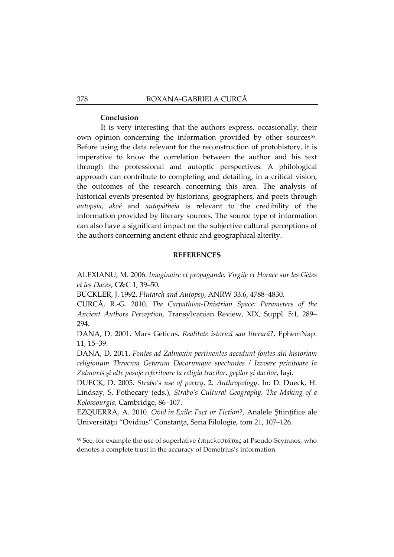#### **Conclusion**

It is very interesting that the authors express, occasionally, their own opinion concerning the information provided by other sources<sup>[55](#page-9-0)</sup>. Before using the data relevant for the reconstruction of protohistory, it is imperative to know the correlation between the author and his text through the professional and autoptic perspectives. A philological approach can contribute to completing and detailing, in a critical vision, the outcomes of the research concerning this area. The analysis of historical events presented by historians, geographers, and poets through *autopsía*, *akoé* and *autopátheia* is relevant to the credibility of the information provided by literary sources. The source type of information can also have a significant impact on the subjective cultural perceptions of the authors concerning ancient ethnic and geographical alterity.

## **REFERENCES**

ALEXIANU, M. 2006. *Imaginaire et propagande: Virgile et Horace sur les Gètes et les Daces*, C&C 1, 39–50.

BUCKLER, J. 1992. *Plutarch and Autopsy*, ANRW 33.6, 4788–4830.

CURCĂ, R.-G. 2010. *The Carpathian-Dnistrian Space: Parameters of the Ancient Authors Perception*, Transylvanian Review, XIX, Suppl. 5:1, 289– 294.

DANA, D. 2001. Mars Geticus. *Realitate istorică sau literară?*, EphemNap. 11, 15–39.

DANA, D. 2011. *Fontes ad Zalmoxin pertinentes accedunt fontes alii historiam religionum Thracum Getarum Dacorumque spectantes / Izvoare privitoare la Zalmoxis şi alte pasaje referitoare la religia tracilor, geţilor şi dacilor*, Iaşi.

DUECK, D. 2005. *Strabo's use of poetry*. 2. *Anthropology*. In: D. Dueck, H. Lindsay, S. Pothecary (eds.), *Strabo's Cultural Geography. The Making of a Kolossourgia*, Cambridge, 86–107.

EZQUERRA, A. 2010. *Ovid in Exile*: *Fact or Fiction*?, Analele Ştiinţifice ale Universităţii "Ovidius" Constanţa, Seria Filologie, tom 21, 107–126.

<span id="page-9-0"></span><sup>&</sup>lt;sup>55</sup> See, for example the use of superlative ἐπιμελεστάτως at Pseudo-Scymnos, who denotes a complete trust in the accuracy of Demetrius's information.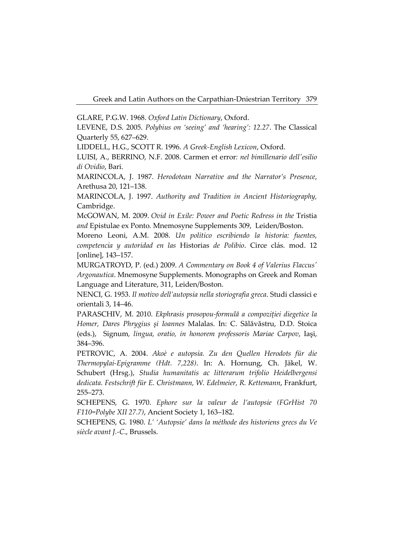GLARE, P.G.W. 1968. *Oxford Latin Dictionary*, Oxford.

LEVENE, D.S. 2005. *Polybius on 'seeing' and 'hearing': 12.27*. The Classical Quarterly 55, 627–629.

LIDDELL, H.G., SCOTT R. 1996. *A Greek-English Lexicon*, Oxford.

LUISI, A., BERRINO, N.F. 2008. Carmen et error*: nel bimillenario dell'esilio di Ovidio*, Bari.

MARINCOLA, J. 1987. *Herodotean Narrative and the Narrator's Presence*, Arethusa 20, 121–138.

MARINCOLA, J. 1997. *Authority and Tradition in Ancient Historiography,*  Cambridge.

McGOWAN, M. 2009. *Ovid in Exile: Power and Poetic Redress in the* Tristia *and* Epistulae ex Ponto*.* Mnemosyne Supplements 309, Leiden/Boston.

Moreno Leoni, A.M. 2008. *Un político escribiendo la historia: fuentes, competencia y autoridad en las* Historias *de Polibio*. Circe clás. mod. 12 [online], 143–157.

MURGATROYD, P. (ed.) 2009. *A Commentary on Book 4 of Valerius Flaccus' Argonautica*. Mnemosyne Supplements. Monographs on Greek and Roman Language and Literature, 311, Leiden/Boston.

NENCI, G. 1953. *Il motivo dell'autopsia nella storiografia greca*. Studi classici e orientali 3, 14–46.

PARASCHIV, M. 2010. *Ekphrasis prosopou-formulă a compoziţiei diegetice la Homer, Dares Phrygius şi Ioannes* Malalas. In: C. Sălăvăstru, D.D. Stoica (eds.), Signum*, lingua, oratio, in honorem professoris Mariae Carpov*, Iaşi, 384–396.

PETROVIC, A. 2004. *Akoè e autopsía. Zu den Quellen Herodots für die Thermopylai-Epigramme (Hdt. 7,228)*. In: A. Hornung, Ch. Jäkel, W. Schubert (Hrsg.), *Studia humanitatis ac litterarum trifolio Heidelbergensi dedicata. Festschrift für E. Christmann, W. Edelmeier, R. Kettemann*, Frankfurt, 255–273.

SCHEPENS, G. 1970. *Ephore sur la valeur de l'autopsie (FGrHist 70 F110=Polybe XII 27.7)*, Ancient Society 1, 163–182.

SCHEPENS, G. 1980. *L' 'Autopsie' dans la méthode des historiens grecs du Ve siècle avant J.-C*., Brussels.